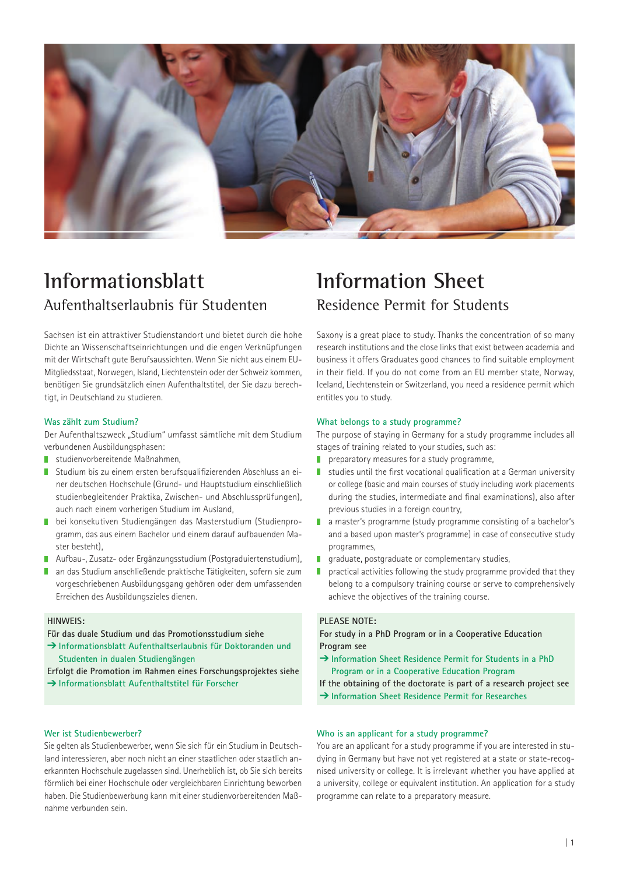

# **Informationsblatt**  Aufenthaltserlaubnis für Studenten

Sachsen ist ein attraktiver Studienstandort und bietet durch die hohe Dichte an Wissenschaftseinrichtungen und die engen Verknüpfungen mit der Wirtschaft gute Berufsaussichten. Wenn Sie nicht aus einem EU-Mitgliedsstaat, Norwegen, Island, Liechtenstein oder der Schweiz kommen, benötigen Sie grundsätzlich einen Aufenthaltstitel, der Sie dazu berechtigt, in Deutschland zu studieren.

#### **Was zählt zum Studium?**

Der Aufenthaltszweck "Studium" umfasst sämtliche mit dem Studium verbundenen Ausbildungsphasen:

- studienvorbereitende Maßnahmen,
- Studium bis zu einem ersten berufsqualifizierenden Abschluss an einer deutschen Hochschule (Grund- und Hauptstudium einschließlich studienbegleitender Praktika, Zwischen- und Abschlussprüfungen), auch nach einem vorherigen Studium im Ausland,
- bei konsekutiven Studiengängen das Masterstudium (Studienprogramm, das aus einem Bachelor und einem darauf aufbauenden Master besteht)
- Aufbau-, Zusatz- oder Ergänzungsstudium (Postgraduiertenstudium),
- an das Studium anschließende praktische Tätigkeiten, sofern sie zum vorgeschriebenen Ausbildungsgang gehören oder dem umfassenden Erreichen des Ausbildungszieles dienen.

## **HINWEIS:**

**Für das duale Studium und das Promotionsstudium siehe**

- **Informationsblatt Aufenthaltserlaubnis für Doktoranden und Studenten in dualen Studiengängen**
- **Erfolgt die Promotion im Rahmen eines Forschungsprojektes siehe Informationsblatt Aufenthaltstitel für Forscher**

# **Wer ist Studienbewerber?**

Sie gelten als Studienbewerber, wenn Sie sich für ein Studium in Deutschland interessieren, aber noch nicht an einer staatlichen oder staatlich anerkannten Hochschule zugelassen sind. Unerheblich ist, ob Sie sich bereits förmlich bei einer Hochschule oder vergleichbaren Einrichtung beworben haben. Die Studienbewerbung kann mit einer studienvorbereitenden Maßnahme verbunden sein.

# **Information Sheet**  Residence Permit for Students

Saxony is a great place to study. Thanks the concentration of so many research institutions and the close links that exist between academia and business it offers Graduates good chances to find suitable employment in their field. If you do not come from an EU member state, Norway, Iceland, Liechtenstein or Switzerland, you need a residence permit which entitles you to study.

#### **What belongs to a study programme?**

The purpose of staying in Germany for a study programme includes all stages of training related to your studies, such as:

- **P** preparatory measures for a study programme,
- studies until the first vocational qualification at a German university or college (basic and main courses of study including work placements during the studies, intermediate and final examinations), also after previous studies in a foreign country.
- **a** a master's programme (study programme consisting of a bachelor's and a based upon master's programme) in case of consecutive study programmes,
- graduate, postgraduate or complementary studies,
- $\blacksquare$  practical activities following the study programme provided that they belong to a compulsory training course or serve to comprehensively achieve the objectives of the training course.

# **PLEASE NOTE:**

**For study in a PhD Program or in a Cooperative Education Program see** 

- **Information Sheet Residence Permit for Students in a PhD Program or in a Cooperative Education Program**
- **If the obtaining of the doctorate is part of a research project see**
- → Information Sheet Residence Permit for Researches

## **Who is an applicant for a study programme?**

You are an applicant for a study programme if you are interested in studying in Germany but have not yet registered at a state or state-recognised university or college. It is irrelevant whether you have applied at a university, college or equivalent institution. An application for a study programme can relate to a preparatory measure.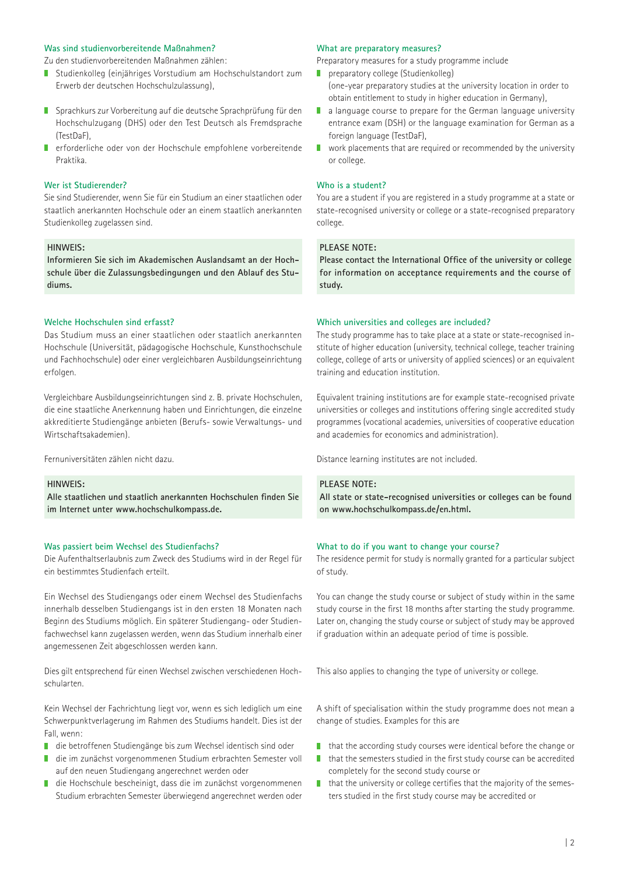#### **Was sind studienvorbereitende Maßnahmen?**

Zu den studienvorbereitenden Maßnahmen zählen:

- Studienkolleg (einjähriges Vorstudium am Hochschulstandort zum Erwerb der deutschen Hochschulzulassung),
- Sprachkurs zur Vorbereitung auf die deutsche Sprachprüfung für den Hochschulzugang (DHS) oder den Test Deutsch als Fremdsprache (TestDaF),
- **F** erforderliche oder von der Hochschule empfohlene vorbereitende Praktika.

#### **Wer ist Studierender?**

Sie sind Studierender, wenn Sie für ein Studium an einer staatlichen oder staatlich anerkannten Hochschule oder an einem staatlich anerkannten Studienkolleg zugelassen sind.

## **HINWEIS:**

**Informieren Sie sich im Akademischen Auslandsamt an der Hochschule über die Zulassungsbedingungen und den Ablauf des Studiums.** 

## **Welche Hochschulen sind erfasst?**

Das Studium muss an einer staatlichen oder staatlich anerkannten Hochschule (Universität, pädagogische Hochschule, Kunsthochschule und Fachhochschule) oder einer vergleichbaren Ausbildungseinrichtung erfolgen.

Vergleichbare Ausbildungseinrichtungen sind z. B. private Hochschulen, die eine staatliche Anerkennung haben und Einrichtungen, die einzelne akkreditierte Studiengänge anbieten (Berufs- sowie Verwaltungs- und Wirtschaftsakademien).

Fernuniversitäten zählen nicht dazu.

#### **HINWEIS:**

**Alle staatlichen und staatlich anerkannten Hochschulen finden Sie im Internet unter www.hochschulkompass.de.** 

#### **Was passiert beim Wechsel des Studienfachs?**

Die Aufenthaltserlaubnis zum Zweck des Studiums wird in der Regel für ein bestimmtes Studienfach erteilt.

Ein Wechsel des Studiengangs oder einem Wechsel des Studienfachs innerhalb desselben Studiengangs ist in den ersten 18 Monaten nach Beginn des Studiums möglich. Ein späterer Studiengang- oder Studienfachwechsel kann zugelassen werden, wenn das Studium innerhalb einer angemessenen Zeit abgeschlossen werden kann.

Dies gilt entsprechend für einen Wechsel zwischen verschiedenen Hochschularten.

Kein Wechsel der Fachrichtung liegt vor, wenn es sich lediglich um eine Schwerpunktverlagerung im Rahmen des Studiums handelt. Dies ist der Fall, wenn:

- die betroffenen Studiengänge bis zum Wechsel identisch sind oder
- die im zunächst vorgenommenen Studium erbrachten Semester voll auf den neuen Studiengang angerechnet werden oder
- П die Hochschule bescheinigt, dass die im zunächst vorgenommenen Studium erbrachten Semester überwiegend angerechnet werden oder

#### **What are preparatory measures?**

Preparatory measures for a study programme include

- **preparatory college (Studienkolleg)**
- (one-year preparatory studies at the university location in order to obtain entitlement to study in higher education in Germany),
- a language course to prepare for the German language university entrance exam (DSH) or the language examination for German as a foreign language (TestDaF),
- **N** work placements that are required or recommended by the university or college.

#### **Who is a student?**

You are a student if you are registered in a study programme at a state or state-recognised university or college or a state-recognised preparatory college.

#### **PLEASE NOTE:**

**Please contact the International Office of the university or college for information on acceptance requirements and the course of study.**

## **Which universities and colleges are included?**

The study programme has to take place at a state or state-recognised institute of higher education (university, technical college, teacher training college, college of arts or university of applied sciences) or an equivalent training and education institution.

Equivalent training institutions are for example state-recognised private universities or colleges and institutions offering single accredited study programmes (vocational academies, universities of cooperative education and academies for economics and administration).

Distance learning institutes are not included.

## **PLEASE NOTE:**

**All state or state-recognised universities or colleges can be found on www.hochschulkompass.de/en.html.**

#### **What to do if you want to change your course?**

The residence permit for study is normally granted for a particular subject of study.

You can change the study course or subject of study within in the same study course in the first 18 months after starting the study programme. Later on, changing the study course or subject of study may be approved if graduation within an adequate period of time is possible.

This also applies to changing the type of university or college.

A shift of specialisation within the study programme does not mean a change of studies. Examples for this are

- $\blacksquare$  that the according study courses were identical before the change or
- $\blacksquare$  that the semesters studied in the first study course can be accredited completely for the second study course or
- $\blacksquare$  that the university or college certifies that the majority of the semesters studied in the first study course may be accredited or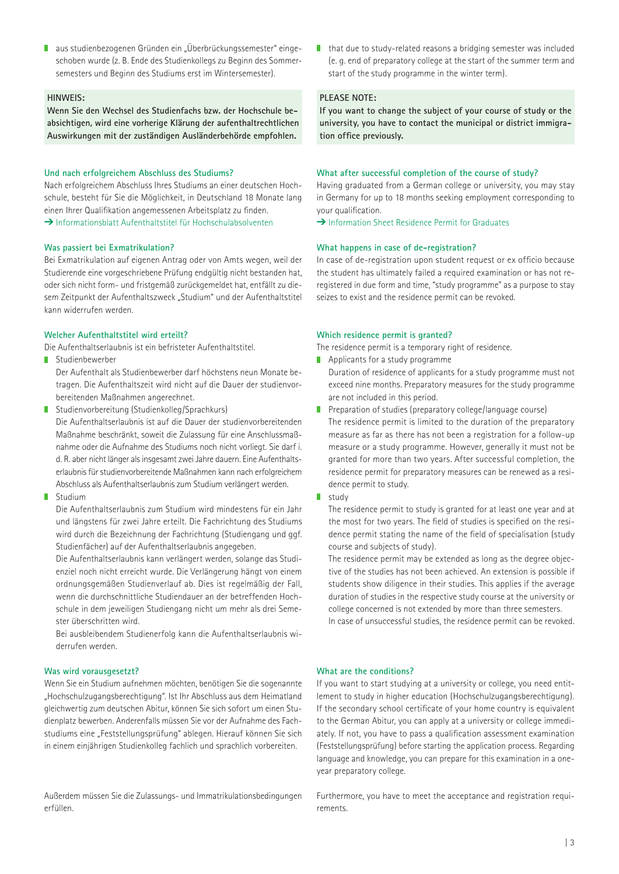■ aus studienbezogenen Gründen ein "Überbrückungssemester" eingeschoben wurde (z. B. Ende des Studienkollegs zu Beginn des Sommersemesters und Beginn des Studiums erst im Wintersemester).

## **HINWEIS:**

**Wenn Sie den Wechsel des Studienfachs bzw. der Hochschule beabsichtigen, wird eine vorherige Klärung der aufenthaltrechtlichen Auswirkungen mit der zuständigen Ausländerbehörde empfohlen.**

#### **Und nach erfolgreichem Abschluss des Studiums?**

Nach erfolgreichem Abschluss Ihres Studiums an einer deutschen Hochschule, besteht für Sie die Möglichkeit, in Deutschland 18 Monate lang einen Ihrer Qualifikation angemessenen Arbeitsplatz zu finden.  $\rightarrow$  Informationsblatt Aufenthaltstitel für Hochschulabsolventen

#### **Was passiert bei Exmatrikulation?**

Bei Exmatrikulation auf eigenen Antrag oder von Amts wegen, weil der Studierende eine vorgeschriebene Prüfung endgültig nicht bestanden hat, oder sich nicht form- und fristgemäß zurückgemeldet hat, entfällt zu diesem Zeitpunkt der Aufenthaltszweck "Studium" und der Aufenthaltstitel kann widerrufen werden.

#### **Welcher Aufenthaltstitel wird erteilt?**

Die Aufenthaltserlaubnis ist ein befristeter Aufenthaltstitel.

**Studienbewerber** 

Der Aufenthalt als Studienbewerber darf höchstens neun Monate betragen. Die Aufenthaltszeit wird nicht auf die Dauer der studienvorbereitenden Maßnahmen angerechnet.

- Studienvorbereitung (Studienkolleg/Sprachkurs) Die Aufenthaltserlaubnis ist auf die Dauer der studienvorbereitenden Maßnahme beschränkt, soweit die Zulassung für eine Anschlussmaßnahme oder die Aufnahme des Studiums noch nicht vorliegt. Sie darf i. d. R. aber nicht länger als insgesamt zwei Jahre dauern. Eine Aufenthaltserlaubnis für studienvorbereitende Maßnahmen kann nach erfolgreichem Abschluss als Aufenthaltserlaubnis zum Studium verlängert werden.
- **Studium**

Die Aufenthaltserlaubnis zum Studium wird mindestens für ein Jahr und längstens für zwei Jahre erteilt. Die Fachrichtung des Studiums wird durch die Bezeichnung der Fachrichtung (Studiengang und ggf. Studienfächer) auf der Aufenthaltserlaubnis angegeben.

Die Aufenthaltserlaubnis kann verlängert werden, solange das Studienziel noch nicht erreicht wurde. Die Verlängerung hängt von einem ordnungsgemäßen Studienverlauf ab. Dies ist regelmäßig der Fall, wenn die durchschnittliche Studiendauer an der betreffenden Hochschule in dem jeweiligen Studiengang nicht um mehr als drei Semester überschritten wird.

Bei ausbleibendem Studienerfolg kann die Aufenthaltserlaubnis widerrufen werden.

## **Was wird vorausgesetzt?**

Wenn Sie ein Studium aufnehmen möchten, benötigen Sie die sogenannte "Hochschulzugangsberechtigung". Ist Ihr Abschluss aus dem Heimatland gleichwertig zum deutschen Abitur, können Sie sich sofort um einen Studienplatz bewerben. Anderenfalls müssen Sie vor der Aufnahme des Fachstudiums eine "Feststellungsprüfung" ablegen. Hierauf können Sie sich in einem einjährigen Studienkolleg fachlich und sprachlich vorbereiten.

Außerdem müssen Sie die Zulassungs- und Immatrikulationsbedingungen erfüllen.

■ that due to study-related reasons a bridging semester was included (e. g. end of preparatory college at the start of the summer term and start of the study programme in the winter term).

# **PLEASE NOTE:**

**If you want to change the subject of your course of study or the university, you have to contact the municipal or district immigration office previously.**

#### **What after successful completion of the course of study?**

Having graduated from a German college or university, you may stay in Germany for up to 18 months seeking employment corresponding to your qualification.

 $\rightarrow$  Information Sheet Residence Permit for Graduates

#### **What happens in case of de-registration?**

In case of de-registration upon student request or ex officio because the student has ultimately failed a required examination or has not reregistered in due form and time, "study programme" as a purpose to stay seizes to exist and the residence permit can be revoked.

#### **Which residence permit is granted?**

The residence permit is a temporary right of residence.

- **Applicants for a study programme** 
	- Duration of residence of applicants for a study programme must not exceed nine months. Preparatory measures for the study programme are not included in this period.
- **Preparation of studies (preparatory college/language course)** The residence permit is limited to the duration of the preparatory measure as far as there has not been a registration for a follow-up measure or a study programme. However, generally it must not be granted for more than two years. After successful completion, the residence permit for preparatory measures can be renewed as a residence permit to study.
- study

The residence permit to study is granted for at least one year and at the most for two years. The field of studies is specified on the residence permit stating the name of the field of specialisation (study course and subjects of study).

The residence permit may be extended as long as the degree objective of the studies has not been achieved. An extension is possible if students show diligence in their studies. This applies if the average duration of studies in the respective study course at the university or college concerned is not extended by more than three semesters.

In case of unsuccessful studies, the residence permit can be revoked.

#### **What are the conditions?**

If you want to start studying at a university or college, you need entitlement to study in higher education (Hochschulzugangsberechtigung). If the secondary school certificate of your home country is equivalent to the German Abitur, you can apply at a university or college immediately. If not, you have to pass a qualification assessment examination (Feststellungsprüfung) before starting the application process. Regarding language and knowledge, you can prepare for this examination in a oneyear preparatory college.

Furthermore, you have to meet the acceptance and registration requirements.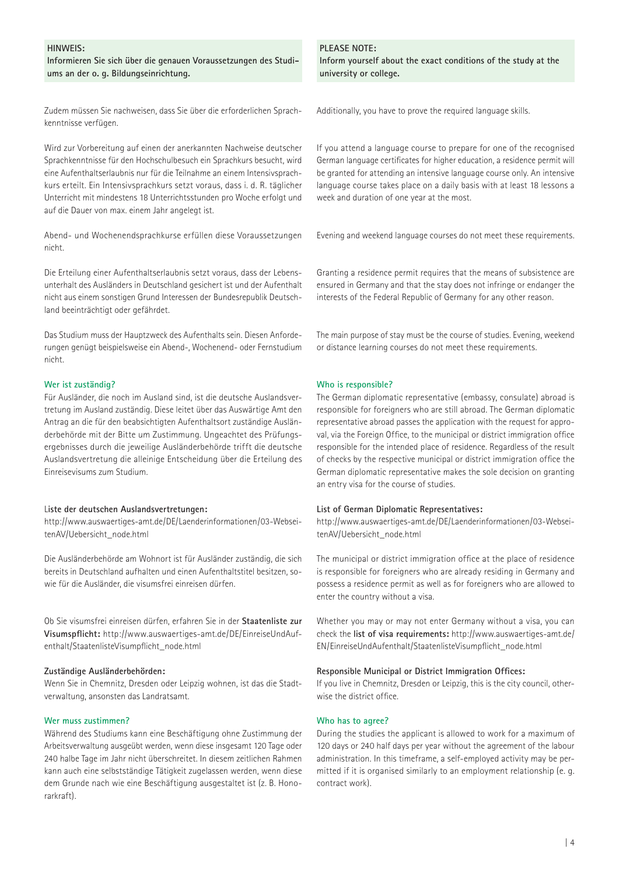## **HINWEIS:**

**Informieren Sie sich über die genauen Voraussetzungen des Studiums an der o. g. Bildungseinrichtung.** 

Zudem müssen Sie nachweisen, dass Sie über die erforderlichen Sprachkenntnisse verfügen.

Wird zur Vorbereitung auf einen der anerkannten Nachweise deutscher Sprachkenntnisse für den Hochschulbesuch ein Sprachkurs besucht, wird eine Aufenthaltserlaubnis nur für die Teilnahme an einem Intensivsprachkurs erteilt. Ein Intensivsprachkurs setzt voraus, dass i. d. R. täglicher Unterricht mit mindestens 18 Unterrichtsstunden pro Woche erfolgt und auf die Dauer von max. einem Jahr angelegt ist.

Abend- und Wochenendsprachkurse erfüllen diese Voraussetzungen nicht.

Die Erteilung einer Aufenthaltserlaubnis setzt voraus, dass der Lebensunterhalt des Ausländers in Deutschland gesichert ist und der Aufenthalt nicht aus einem sonstigen Grund Interessen der Bundesrepublik Deutschland beeinträchtigt oder gefährdet.

Das Studium muss der Hauptzweck des Aufenthalts sein. Diesen Anforderungen genügt beispielsweise ein Abend-, Wochenend- oder Fernstudium nicht.

#### **Wer ist zuständig?**

Für Ausländer, die noch im Ausland sind, ist die deutsche Auslandsvertretung im Ausland zuständig. Diese leitet über das Auswärtige Amt den Antrag an die für den beabsichtigten Aufenthaltsort zuständige Ausländerbehörde mit der Bitte um Zustimmung. Ungeachtet des Prüfungsergebnisses durch die jeweilige Ausländerbehörde trifft die deutsche Auslandsvertretung die alleinige Entscheidung über die Erteilung des Einreisevisums zum Studium.

#### L**iste der deutschen Auslandsvertretungen:**

http://www.auswaertiges-amt.de/DE/Laenderinformationen/03-WebseitenAV/Uebersicht\_node.html

Die Ausländerbehörde am Wohnort ist für Ausländer zuständig, die sich bereits in Deutschland aufhalten und einen Aufenthaltstitel besitzen, sowie für die Ausländer, die visumsfrei einreisen dürfen.

Ob Sie visumsfrei einreisen dürfen, erfahren Sie in der **Staatenliste zur Visumspflicht:** http://www.auswaertiges-amt.de/DE/EinreiseUndAufenthalt/StaatenlisteVisumpflicht\_node.html

#### **Zuständige Ausländerbehörden:**

Wenn Sie in Chemnitz, Dresden oder Leipzig wohnen, ist das die Stadtverwaltung, ansonsten das Landratsamt.

#### **Wer muss zustimmen?**

Während des Studiums kann eine Beschäftigung ohne Zustimmung der Arbeitsverwaltung ausgeübt werden, wenn diese insgesamt 120 Tage oder 240 halbe Tage im Jahr nicht überschreitet. In diesem zeitlichen Rahmen kann auch eine selbstständige Tätigkeit zugelassen werden, wenn diese dem Grunde nach wie eine Beschäftigung ausgestaltet ist (z. B. Honorarkraft).

## **PLEASE NOTE:**

**Inform yourself about the exact conditions of the study at the university or college.**

Additionally, you have to prove the required language skills.

If you attend a language course to prepare for one of the recognised German language certificates for higher education, a residence permit will be granted for attending an intensive language course only. An intensive language course takes place on a daily basis with at least 18 lessons a week and duration of one year at the most.

Evening and weekend language courses do not meet these requirements.

Granting a residence permit requires that the means of subsistence are ensured in Germany and that the stay does not infringe or endanger the interests of the Federal Republic of Germany for any other reason.

The main purpose of stay must be the course of studies. Evening, weekend or distance learning courses do not meet these requirements.

#### **Who is responsible?**

The German diplomatic representative (embassy, consulate) abroad is responsible for foreigners who are still abroad. The German diplomatic representative abroad passes the application with the request for approval, via the Foreign Office, to the municipal or district immigration office responsible for the intended place of residence. Regardless of the result of checks by the respective municipal or district immigration office the German diplomatic representative makes the sole decision on granting an entry visa for the course of studies.

#### **List of German Diplomatic Representatives:**

http://www.auswaertiges-amt.de/DE/Laenderinformationen/03-WebseitenAV/Uebersicht\_node.html

The municipal or district immigration office at the place of residence is responsible for foreigners who are already residing in Germany and possess a residence permit as well as for foreigners who are allowed to enter the country without a visa.

Whether you may or may not enter Germany without a visa, you can check the **list of visa requirements:** http://www.auswaertiges-amt.de/ EN/EinreiseUndAufenthalt/StaatenlisteVisumpflicht\_node.html

#### **Responsible Municipal or District Immigration Offices:**

If you live in Chemnitz, Dresden or Leipzig, this is the city council, otherwise the district office.

#### **Who has to agree?**

During the studies the applicant is allowed to work for a maximum of 120 days or 240 half days per year without the agreement of the labour administration. In this timeframe, a self-employed activity may be permitted if it is organised similarly to an employment relationship (e. g. contract work).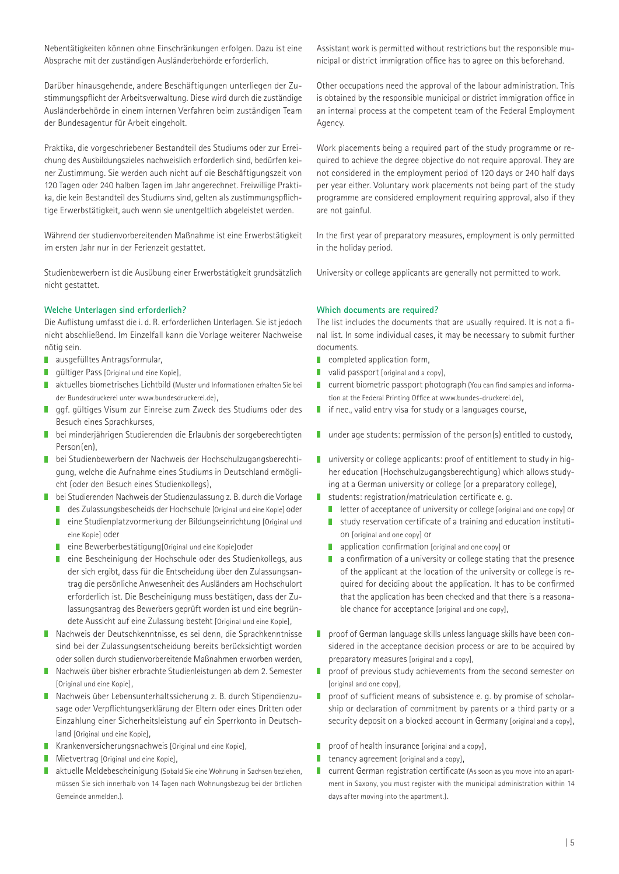Nebentätigkeiten können ohne Einschränkungen erfolgen. Dazu ist eine Absprache mit der zuständigen Ausländerbehörde erforderlich.

Darüber hinausgehende, andere Beschäftigungen unterliegen der Zustimmungspflicht der Arbeitsverwaltung. Diese wird durch die zuständige Ausländerbehörde in einem internen Verfahren beim zuständigen Team der Bundesagentur für Arbeit eingeholt.

Praktika, die vorgeschriebener Bestandteil des Studiums oder zur Erreichung des Ausbildungszieles nachweislich erforderlich sind, bedürfen keiner Zustimmung. Sie werden auch nicht auf die Beschäftigungszeit von 120 Tagen oder 240 halben Tagen im Jahr angerechnet. Freiwillige Praktika, die kein Bestandteil des Studiums sind, gelten als zustimmungspflichtige Erwerbstätigkeit, auch wenn sie unentgeltlich abgeleistet werden.

Während der studienvorbereitenden Maßnahme ist eine Erwerbstätigkeit im ersten Jahr nur in der Ferienzeit gestattet.

Studienbewerbern ist die Ausübung einer Erwerbstätigkeit grundsätzlich nicht gestattet.

## **Welche Unterlagen sind erforderlich?**

Die Auflistung umfasst die i. d. R. erforderlichen Unterlagen. Sie ist jedoch nicht abschließend. Im Einzelfall kann die Vorlage weiterer Nachweise nötig sein.

- **ausgefülltes Antragsformular,**
- **guildiger Pass [Original und eine Kopie].**
- aktuelles biometrisches Lichtbild (Muster und Informationen erhalten Sie bei der Bundesdruckerei unter www.bundesdruckerei.de),
- ggf. gültiges Visum zur Einreise zum Zweck des Studiums oder des Besuch eines Sprachkurses,
- bei minderjährigen Studierenden die Erlaubnis der sorgeberechtigten Person(en),
- bei Studienbewerbern der Nachweis der Hochschulzugangsberechtigung, welche die Aufnahme eines Studiums in Deutschland ermöglicht (oder den Besuch eines Studienkollegs),
- bei Studierenden Nachweis der Studienzulassung z. B. durch die Vorlage
	- des Zulassungsbescheids der Hochschule [Original und eine Kopie] oder
	- eine Studienplatzvormerkung der Bildungseinrichtung [Original und eine Kopie] oder
	- eine Bewerberbestätigung[Original und eine Kopie] oder
	- eine Bescheinigung der Hochschule oder des Studienkollegs, aus der sich ergibt, dass für die Entscheidung über den Zulassungsantrag die persönliche Anwesenheit des Ausländers am Hochschulort erforderlich ist. Die Bescheinigung muss bestätigen, dass der Zulassungsantrag des Bewerbers geprüft worden ist und eine begründete Aussicht auf eine Zulassung besteht [Original und eine Kopie],
- Nachweis der Deutschkenntnisse, es sei denn, die Sprachkenntnisse sind bei der Zulassungsentscheidung bereits berücksichtigt worden oder sollen durch studienvorbereitende Maßnahmen erworben werden,
- Nachweis über bisher erbrachte Studienleistungen ab dem 2. Semester [Original und eine Kopie],
- Nachweis über Lebensunterhaltssicherung z. B. durch Stipendienzusage oder Verpflichtungserklärung der Eltern oder eines Dritten oder Einzahlung einer Sicherheitsleistung auf ein Sperrkonto in Deutschland [Original und eine Kopie],
- Krankenversicherungsnachweis [Original und eine Kopie],
- **Mietvertrag [Original und eine Kopie]**,
- aktuelle Meldebescheinigung (Sobald Sie eine Wohnung in Sachsen beziehen, müssen Sie sich innerhalb von 14 Tagen nach Wohnungsbezug bei der örtlichen Gemeinde anmelden.).

Assistant work is permitted without restrictions but the responsible municipal or district immigration office has to agree on this beforehand.

Other occupations need the approval of the labour administration. This is obtained by the responsible municipal or district immigration office in an internal process at the competent team of the Federal Employment Agency.

Work placements being a required part of the study programme or required to achieve the degree objective do not require approval. They are not considered in the employment period of 120 days or 240 half days per year either. Voluntary work placements not being part of the study programme are considered employment requiring approval, also if they are not gainful.

In the first year of preparatory measures, employment is only permitted in the holiday period.

University or college applicants are generally not permitted to work.

## **Which documents are required?**

The list includes the documents that are usually required. It is not a final list. In some individual cases, it may be necessary to submit further documents.

- completed application form,
- valid passport [original and a copy],
- **CULTER 1** current biometric passport photograph (You can find samples and information at the Federal Printing Office at www.bundes-druckerei.de),
- $\blacksquare$  if nec., valid entry visa for study or a languages course,
- $\blacksquare$  under age students: permission of the person(s) entitled to custody,
- $\blacksquare$  university or college applicants: proof of entitlement to study in higher education (Hochschulzugangsberechtigung) which allows studying at a German university or college (or a preparatory college),
- **I** students: registration/matriculation certificate e. g.
	- $\blacksquare$  letter of acceptance of university or college [original and one copy] or
	- study reservation certificate of a training and education institution [original and one copy] or
	- application confirmation [original and one copy] or П
	- a confirmation of a university or college stating that the presence П of the applicant at the location of the university or college is required for deciding about the application. It has to be confirmed that the application has been checked and that there is a reasonable chance for acceptance [original and one copy].
- **P** proof of German language skills unless language skills have been considered in the acceptance decision process or are to be acquired by preparatory measures [original and a copy],
- **P** proof of previous study achievements from the second semester on [original and one copy],
- $\Box$ proof of sufficient means of subsistence e. g. by promise of scholarship or declaration of commitment by parents or a third party or a security deposit on a blocked account in Germany [original and a copy],
- П proof of health insurance [original and a copy],
- П tenancy agreement [original and a copy],
- $\Box$ current German registration certificate (As soon as you move into an apartment in Saxony, you must register with the municipal administration within 14 days after moving into the apartment.).